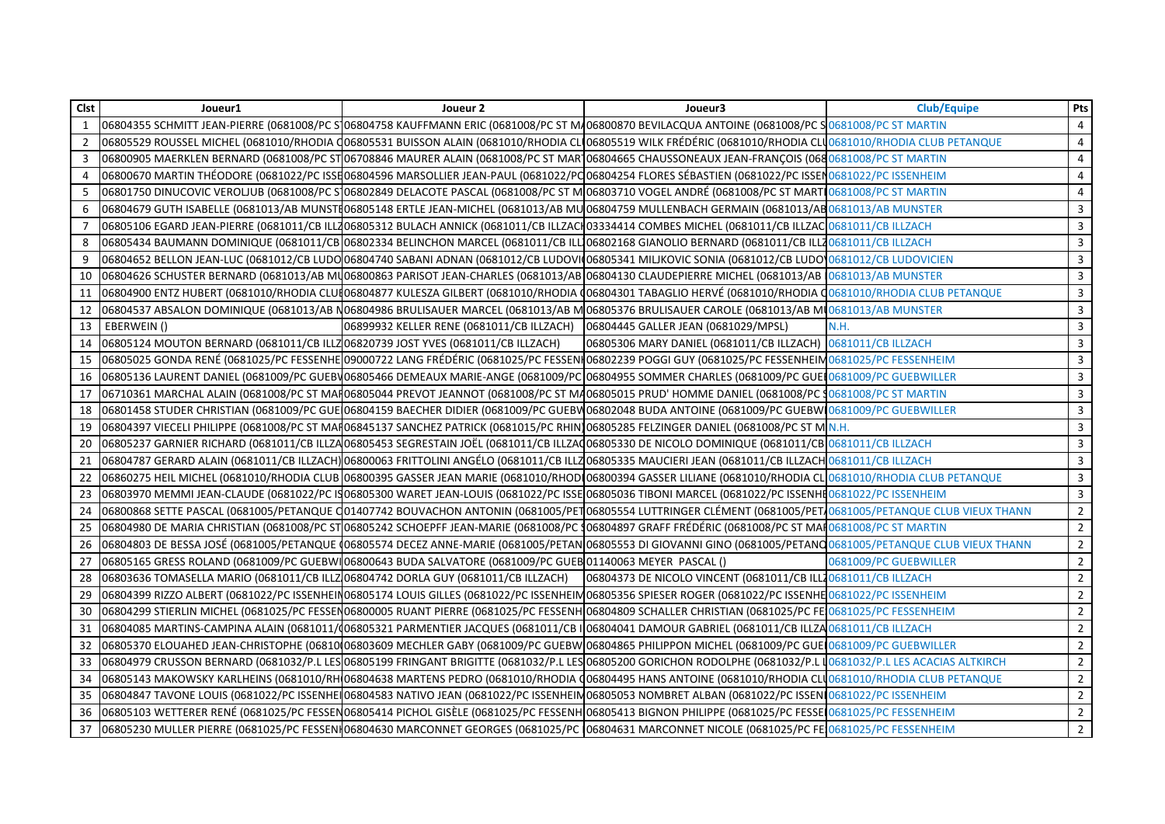| Clst           | Joueur1                                                                           | Joueur 2                                                                                                                                                               | Joueur3                                                       | <b>Club/Equipe</b>    | Pts            |
|----------------|-----------------------------------------------------------------------------------|------------------------------------------------------------------------------------------------------------------------------------------------------------------------|---------------------------------------------------------------|-----------------------|----------------|
| $\mathbf{1}$   |                                                                                   | 06804355 SCHMITT JEAN-PIERRE (0681008/PC S106804758 KAUFFMANN ERIC (0681008/PC ST MA06800870 BEVILACQUA ANTOINE (0681008/PC SO681008/PC ST MARTIN                      |                                                               |                       | 4              |
| $\overline{2}$ |                                                                                   | 06805529 ROUSSEL MICHEL (0681010/RHODIA (06805531 BUISSON ALAIN (0681010/RHODIA CLU06805519 WILK FRÉDÉRIC (0681010/RHODIA CLU0681010/RHODIA CLUB PETANQUE              |                                                               |                       | $\overline{4}$ |
| 3              |                                                                                   | 06800905 MAERKLEN BERNARD (0681008/PC ST 06708846 MAURER ALAIN (0681008/PC ST MAR 06804665 CHAUSSONEAUX JEAN-FRANÇOIS (0680681008/PC ST MARTIN                         |                                                               |                       | $\overline{4}$ |
| 4              |                                                                                   | 06800670 MARTIN THÉODORE (0681022/PC ISSE06804596 MARSOLLIER JEAN-PAUL (0681022/PC06804254 FLORES SÉBASTIEN (0681022/PC ISSEN0681022/PC ISSENHEIM                      |                                                               |                       | 4              |
| 5              |                                                                                   | 06801750 DINUCOVIC VEROLIUB (0681008/PC S106802849 DELACOTE PASCAL (0681008/PC ST M106803710 VOGEL ANDRÉ (0681008/PC ST MART10681008/PC ST MART10681008/PC ST MARTIN   |                                                               |                       | $\overline{4}$ |
| 6              |                                                                                   | 06804679 GUTH ISABELLE (0681013/AB MUNSTI06805148 ERTLE JEAN-MICHEL (0681013/AB MU 06804759 MULLENBACH GERMAIN (0681013/AB 0681013/AB MUNSTER                          |                                                               |                       | $\mathbf{3}$   |
| 7              |                                                                                   | 06805106 EGARD JEAN-PIERRE (0681011/CB ILL206805312 BULACH ANNICK (0681011/CB ILLZACH03334414 COMBES MICHEL (0681011/CB ILLZAC 0681011/CB ILLZACH                      |                                                               |                       | $\mathbf{3}$   |
| 8              |                                                                                   | 06805434 BAUMANN DOMINIQUE (0681011/CB 06802334 BELINCHON MARCEL (0681011/CB ILL 06802168 GIANOLIO BERNARD (0681011/CB ILL 0681011/CB ILL 20681011/CB ILLZACH          |                                                               |                       | 3              |
| 9              |                                                                                   | 06804652 BELLON JEAN-LUC (0681012/CB LUDO 06804740 SABANI ADNAN (0681012/CB LUDOVI 06805341 MILJKOVIC SONIA (0681012/CB LUDO 0681012/CB LUDOVICIEN                     |                                                               |                       | $\mathbf{3}$   |
| 10             |                                                                                   | 06804626 SCHUSTER BERNARD (0681013/AB MU06800863 PARISOT JEAN-CHARLES (0681013/AB 06804130 CLAUDEPIERRE MICHEL (0681013/AB 0681013/AB NUNSTER                          |                                                               |                       | 3              |
| 11             |                                                                                   | 06804900 ENTZ HUBERT (0681010/RHODIA CLUIO6804877 KULESZA GILBERT (0681010/RHODIA (06804301 TABAGLIO HERVÉ (0681010/RHODIA (0681010/RHODIA CLUB PETANQUE               |                                                               |                       | 3              |
| 12             |                                                                                   | 06804537 ABSALON DOMINIQUE (0681013/AB N06804986 BRULISAUER MARCEL (0681013/AB MO6805376 BRULISAUER CAROLE (0681013/AB MO681013/AB MUNSTER                             |                                                               |                       | 3              |
| 13             | EBERWEIN()                                                                        | 06899932 KELLER RENE (0681011/CB ILLZACH) 06804445 GALLER JEAN (0681029/MPSL)                                                                                          |                                                               | N.H.                  | 3              |
| 14             | 06805124 MOUTON BERNARD (0681011/CB ILLZ06820739 JOST YVES (0681011/CB ILLZACH)   |                                                                                                                                                                        | 06805306 MARY DANIEL (0681011/CB ILLZACH) 0681011/CB ILLZACH  |                       | 3              |
| 15             |                                                                                   | 06805025 GONDA RENÉ (0681025/PC FESSENHE 09000722 LANG FRÉDÉRIC (0681025/PC FESSEN 06802239 POGGI GUY (0681025/PC FESSENHEIM 0681025/PC FESSENHEIM                     |                                                               |                       | $\overline{3}$ |
| 16             |                                                                                   | 06805136 LAURENT DANIEL (0681009/PC GUEBV06805466 DEMEAUX MARIE-ANGE (0681009/PC 06804955 SOMMER CHARLES (0681009/PC GUET0681009/PC GUET0681009/PC GUETOWILLER         |                                                               |                       | $\mathbf{3}$   |
| 17             |                                                                                   | 06710361 MARCHAL ALAIN (0681008/PC ST MAR06805044 PREVOT JEANNOT (0681008/PC ST MA06805015 PRUD' HOMME DANIEL (0681008/PC 30681008/PC ST MARTIN                        |                                                               |                       | $\overline{3}$ |
| 18             |                                                                                   | 06801458 STUDER CHRISTIAN (0681009/PC GUE 06804159 BAECHER DIDIER (0681009/PC GUEBW 06802048 BUDA ANTOINE (0681009/PC GUEBW 0681009/PC GUEBWILLER                      |                                                               |                       | 3              |
| 19             |                                                                                   | 06804397 VIECELI PHILIPPE (0681008/PC ST MAR06845137 SANCHEZ PATRICK (0681015/PC RHIN)06805285 FELZINGER DANIEL (0681008/PC ST M N.H.                                  |                                                               |                       | $\overline{3}$ |
| 20             |                                                                                   | 06805237 GARNIER RICHARD (0681011/CB ILLZA 06805453 SEGRESTAIN JOËL (0681011/CB ILLZA 06805330 DE NICOLO DOMINIQUE (0681011/CB 0681011/CB ILLZACH                      |                                                               |                       | 3              |
| 21             |                                                                                   | 06804787 GERARD ALAIN (0681011/CB ILLZACH) 06800063 FRITTOLINI ANGÉLO (0681011/CB ILLZ06805335 MAUCIERI JEAN (0681011/CB ILLZACH 0681011/CB ILLZACH 0681011/CB ILLZACH |                                                               |                       | $\mathbf{3}$   |
| 22             |                                                                                   | 06860275 HEIL MICHEL (0681010/RHODIA CLUB 06800395 GASSER JEAN MARIE (0681010/RHODI06800394 GASSER LILIANE (0681010/RHODIA CLO681010/RHODIA CLUB PETANQUE              |                                                               |                       | 3              |
| 23             |                                                                                   | 06803970 MEMMI JEAN-CLAUDE (0681022/PC IS06805300 WARET JEAN-LOUIS (0681022/PC ISSE 06805036 TIBONI MARCEL (0681022/PC ISSENHI 0681022/PC ISSENHI 0681022/PC ISSENHEIM |                                                               |                       | $\overline{3}$ |
| 24             |                                                                                   | 06800868 SETTE PASCAL (0681005/PETANQUE C01407742 BOUVACHON ANTONIN (0681005/PET06805554 LUTTRINGER CLÉMENT (0681005/PET0681005/PET40681005/PETANQUE CLUB VIEUX THANN  |                                                               |                       | $\overline{2}$ |
| 25             |                                                                                   | 06804980 DE MARIA CHRISTIAN (0681008/PC ST 06805242 SCHOEPFF JEAN-MARIE (0681008/PC 106804897 GRAFF FRÉDÉRIC (0681008/PC ST MAI 0681008/PC ST MARTIN                   |                                                               |                       | $\overline{2}$ |
| 26             |                                                                                   | 06804803 DE BESSA JOSÉ (0681005/PETANQUE (06805574 DECEZ ANNE-MARIE (0681005/PETAN 06805553 DI GIOVANNI GINO (0681005/PETANQ0681005/PETANQUE CLUB VIEUX THANN          |                                                               |                       | $\overline{2}$ |
| 27             |                                                                                   | 06805165 GRESS ROLAND (0681009/PC GUEBWI 06800643 BUDA SALVATORE (0681009/PC GUEB 01140063 MEYER PASCAL ()                                                             |                                                               | 0681009/PC GUEBWILLER | $\overline{2}$ |
| 28             | 06803636 TOMASELLA MARIO (0681011/CB ILLZ 06804742 DORLA GUY (0681011/CB ILLZACH) |                                                                                                                                                                        | 06804373 DE NICOLO VINCENT (0681011/CB ILL20681011/CB ILLZACH |                       | $\overline{2}$ |
| 29             |                                                                                   | 06804399 RIZZO ALBERT (0681022/PC ISSENHEIN06805174 LOUIS GILLES (0681022/PC ISSENHEIN06805356 SPIESER ROGER (0681022/PC ISSENHE0681022/PC ISSENHE0681022/PC ISSENHEIM |                                                               |                       | $\overline{2}$ |
| 30             |                                                                                   | 06804299 STIERLIN MICHEL (0681025/PC FESSEN06800005 RUANT PIERRE (0681025/PC FESSENH 06804809 SCHALLER CHRISTIAN (0681025/PC FE 0681025/PC FESSENHEIM                  |                                                               |                       | 2              |
| 31             |                                                                                   | 06804085 MARTINS-CAMPINA ALAIN (0681011/(06805321 PARMENTIER JACQUES (0681011/CB I 06804041 DAMOUR GABRIEL (0681011/CB ILLZA 0681011/CB ILLZA 0681011/CB ILLZA CH      |                                                               |                       | 2              |
| 32             |                                                                                   | 06805370 ELOUAHED JEAN-CHRISTOPHE (06810006803609 MECHLER GABY (0681009/PC GUEBW 06804865 PHILIPPON MICHEL (0681009/PC GUE 0681009/PC GUEBWILLER                       |                                                               |                       | $\overline{2}$ |
| 33             |                                                                                   | 06804979 CRUSSON BERNARD (0681032/P.L LES 06805199 FRINGANT BRIGITTE (0681032/P.L LES 06805200 GORICHON RODOLPHE (0681032/P.L 10681032/P.L LES ACACIAS ALTKIRCH        |                                                               |                       | $\overline{2}$ |
| 34             |                                                                                   | 06805143 MAKOWSKY KARLHEINS (0681010/RH 06804638 MARTENS PEDRO (0681010/RHODIA Q06804495 HANS ANTOINE (0681010/RHODIA CLU0681010/RHODIA CLUB PETANQUE                  |                                                               |                       | $\overline{2}$ |
| 35             |                                                                                   | 06804847 TAVONE LOUIS (0681022/PC ISSENHEI 06804583 NATIVO JEAN (0681022/PC ISSENHEIM06805053 NOMBRET ALBAN (0681022/PC ISSENI 0681022/PC ISSENIHEIM                   |                                                               |                       | $\overline{2}$ |
| 36             |                                                                                   | 06805103 WETTERER RENÉ (0681025/PC FESSEN06805414 PICHOL GISÈLE (0681025/PC FESSENH 06805413 BIGNON PHILIPPE (0681025/PC FESSE 0681025/PC FESSENHEIM                   |                                                               |                       | $\overline{2}$ |
| 37             |                                                                                   | 06805230 MULLER PIERRE (0681025/PC FESSENH06804630 MARCONNET GEORGES (0681025/PC 06804631 MARCONNET NICOLE (0681025/PC FE 0681025/PC FESSENHEIM                        |                                                               |                       | 2              |